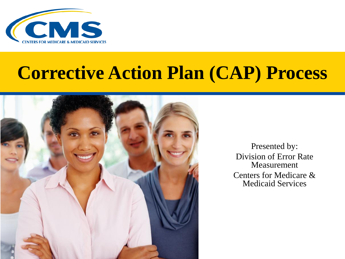

### **Corrective Action Plan (CAP) Process**



Presented by: Division of Error Rate Measurement Centers for Medicare & Medicaid Services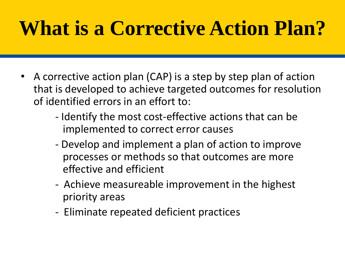## **What is a Corrective Action Plan?**

- A corrective action plan (CAP) is a step by step plan of action that is developed to achieve targeted outcomes for resolution of identified errors in an effort to:
	- Identify the most cost-effective actions that can be implemented to correct error causes
	- Develop and implement a plan of action to improve processes or methods so that outcomes are more effective and efficient
	- Achieve measureable improvement in the highest priority areas
	- Eliminate repeated deficient practices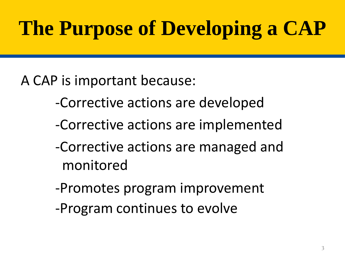## **The Purpose of Developing a CAP**

A CAP is important because:

- -Corrective actions are developed
- -Corrective actions are implemented
- -Corrective actions are managed and monitored
- -Promotes program improvement
- -Program continues to evolve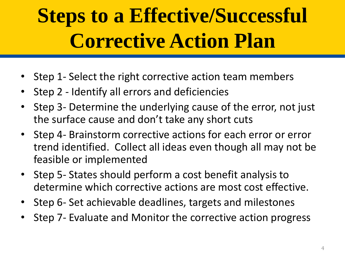## **Steps to a Effective/Successful Corrective Action Plan**

- Step 1- Select the right corrective action team members
- Step 2 Identify all errors and deficiencies
- Step 3- Determine the underlying cause of the error, not just the surface cause and don't take any short cuts
- Step 4- Brainstorm corrective actions for each error or error trend identified. Collect all ideas even though all may not be feasible or implemented
- Step 5- States should perform a cost benefit analysis to determine which corrective actions are most cost effective.
- Step 6- Set achievable deadlines, targets and milestones
- Step 7- Evaluate and Monitor the corrective action progress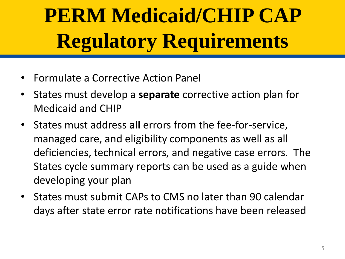## **PERM Medicaid/CHIP CAP Regulatory Requirements**

- Formulate a Corrective Action Panel
- States must develop a **separate** corrective action plan for Medicaid and CHIP
- States must address **all** errors from the fee-for-service, managed care, and eligibility components as well as all deficiencies, technical errors, and negative case errors. The States cycle summary reports can be used as a guide when developing your plan
- States must submit CAPs to CMS no later than 90 calendar days after state error rate notifications have been released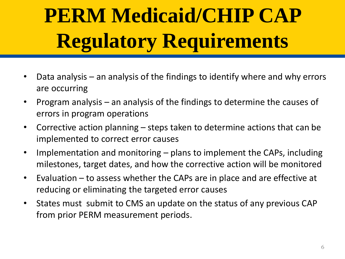# **PERM Medicaid/CHIP CAP Regulatory Requirements**

- Data analysis an analysis of the findings to identify where and why errors are occurring
- Program analysis an analysis of the findings to determine the causes of errors in program operations
- Corrective action planning steps taken to determine actions that can be implemented to correct error causes
- Implementation and monitoring plans to implement the CAPs, including milestones, target dates, and how the corrective action will be monitored
- Evaluation to assess whether the CAPs are in place and are effective at reducing or eliminating the targeted error causes
- States must submit to CMS an update on the status of any previous CAP from prior PERM measurement periods.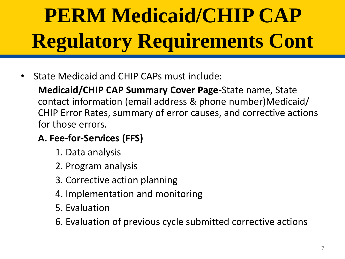# **PERM Medicaid/CHIP CAP Regulatory Requirements Cont**

• State Medicaid and CHIP CAPs must include:

**Medicaid/CHIP CAP Summary Cover Page-**State name, State contact information (email address & phone number)Medicaid/ CHIP Error Rates, summary of error causes, and corrective actions for those errors.

#### **A. Fee-for-Services (FFS)**

- 1. Data analysis
- 2. Program analysis
- 3. Corrective action planning
- 4. Implementation and monitoring
- 5. Evaluation

6. Evaluation of previous cycle submitted corrective actions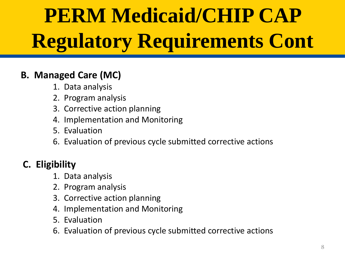# **PERM Medicaid/CHIP CAP Regulatory Requirements Cont**

#### **B. Managed Care (MC)**

- 1. Data analysis
- 2. Program analysis
- 3. Corrective action planning
- 4. Implementation and Monitoring
- 5. Evaluation
- 6. Evaluation of previous cycle submitted corrective actions

#### **C. Eligibility**

- 1. Data analysis
- 2. Program analysis
- 3. Corrective action planning
- 4. Implementation and Monitoring
- 5. Evaluation
- 6. Evaluation of previous cycle submitted corrective actions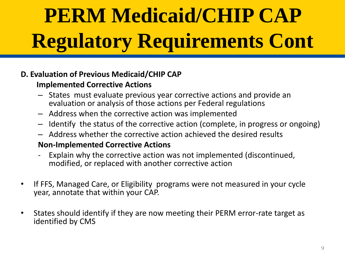# **PERM Medicaid/CHIP CAP Regulatory Requirements Cont**

#### **D. Evaluation of Previous Medicaid/CHIP CAP**

#### **Implemented Corrective Actions**

- States must evaluate previous year corrective actions and provide an evaluation or analysis of those actions per Federal regulations
- Address when the corrective action was implemented
- Identify the status of the corrective action (complete, in progress or ongoing)
- Address whether the corrective action achieved the desired results

#### **Non-Implemented Corrective Actions**

- Explain why the corrective action was not implemented (discontinued, modified, or replaced with another corrective action
- If FFS, Managed Care, or Eligibility programs were not measured in your cycle year, annotate that within your CAP.
- States should identify if they are now meeting their PERM error-rate target as identified by CMS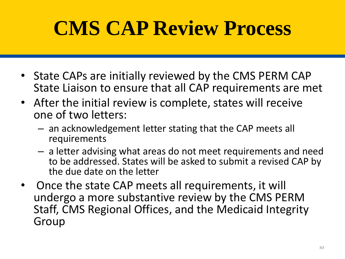## **CMS CAP Review Process**

- State CAPs are initially reviewed by the CMS PERM CAP State Liaison to ensure that all CAP requirements are met
- After the initial review is complete, states will receive one of two letters:
	- an acknowledgement letter stating that the CAP meets all requirements
	- a letter advising what areas do not meet requirements and need to be addressed. States will be asked to submit a revised CAP by the due date on the letter
- Once the state CAP meets all requirements, it will undergo a more substantive review by the CMS PERM Staff, CMS Regional Offices, and the Medicaid Integrity Group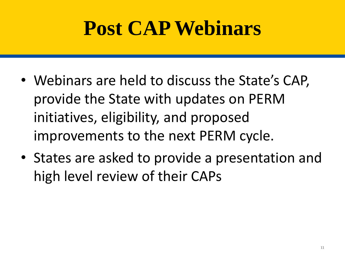## **Post CAP Webinars**

- Webinars are held to discuss the State's CAP, provide the State with updates on PERM initiatives, eligibility, and proposed improvements to the next PERM cycle.
- States are asked to provide a presentation and high level review of their CAPs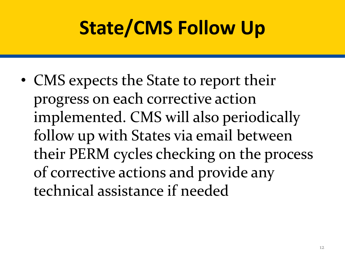## **State/CMS Follow Up**

• CMS expects the State to report their progress on each corrective action implemented. CMS will also periodically follow up with States via email between their PERM cycles checking on the process of corrective actions and provide any technical assistance if needed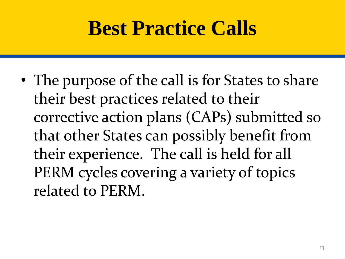### **Best Practice Calls**

• The purpose of the call is for States to share their best practices related to their corrective action plans (CAPs) submitted so that other States can possibly benefit from their experience. The call is held for all PERM cycles covering a variety of topics related to PERM.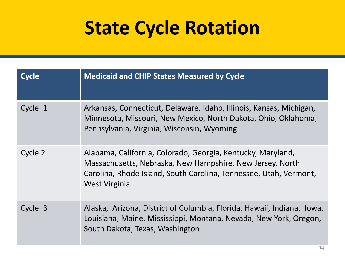### **State Cycle Rotation**

| <b>Cycle</b> | <b>Medicaid and CHIP States Measured by Cycle</b>                                                                                                                                                              |
|--------------|----------------------------------------------------------------------------------------------------------------------------------------------------------------------------------------------------------------|
| Cycle 1      | Arkansas, Connecticut, Delaware, Idaho, Illinois, Kansas, Michigan,<br>Minnesota, Missouri, New Mexico, North Dakota, Ohio, Oklahoma,<br>Pennsylvania, Virginia, Wisconsin, Wyoming                            |
| Cycle 2      | Alabama, California, Colorado, Georgia, Kentucky, Maryland,<br>Massachusetts, Nebraska, New Hampshire, New Jersey, North<br>Carolina, Rhode Island, South Carolina, Tennessee, Utah, Vermont,<br>West Virginia |
| Cycle 3      | Alaska, Arizona, District of Columbia, Florida, Hawaii, Indiana, Iowa,<br>Louisiana, Maine, Mississippi, Montana, Nevada, New York, Oregon,<br>South Dakota, Texas, Washington                                 |